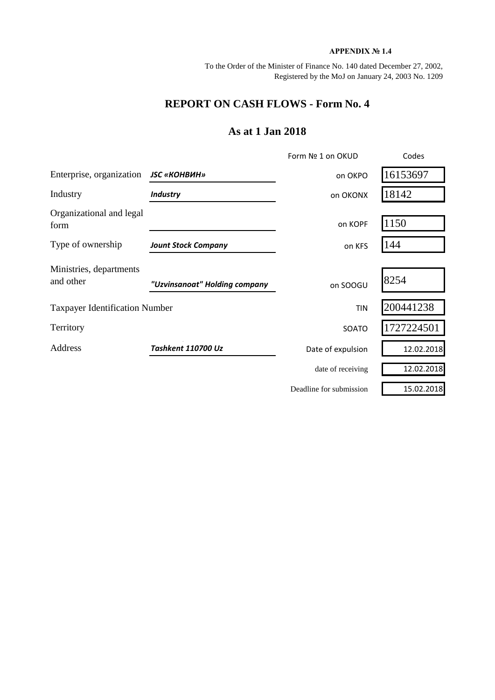## **APPENDIX № 1.4**

To the Order of the Minister of Finance No. 140 dated December 27, 2002, Registered by the MoJ on January 24, 2003 No. 1209

## **REPORT ON CASH FLOWS - Form No. 4**

## **As at 1 Jan 2018**

|                                       |                               | Form Nº 1 on OKUD       | Codes      |
|---------------------------------------|-------------------------------|-------------------------|------------|
| Enterprise, organization              | <b>JSC «КОНВИН»</b>           | on OKPO                 | 16153697   |
| Industry                              | <b>Industry</b>               | on OKONX                | 18142      |
| Organizational and legal<br>form      |                               | on KOPF                 | 1150       |
| Type of ownership                     | <b>Jount Stock Company</b>    | on KFS                  | 144        |
| Ministries, departments<br>and other  | "Uzvinsanoat" Holding company | on SOOGU                | 8254       |
| <b>Taxpayer Identification Number</b> |                               | <b>TIN</b>              | 200441238  |
| Territory                             |                               | SOATO                   | 1727224501 |
| Address                               | <b>Tashkent 110700 Uz</b>     | Date of expulsion       | 12.02.2018 |
|                                       |                               | date of receiving       | 12.02.2018 |
|                                       |                               | Deadline for submission | 15.02.2018 |